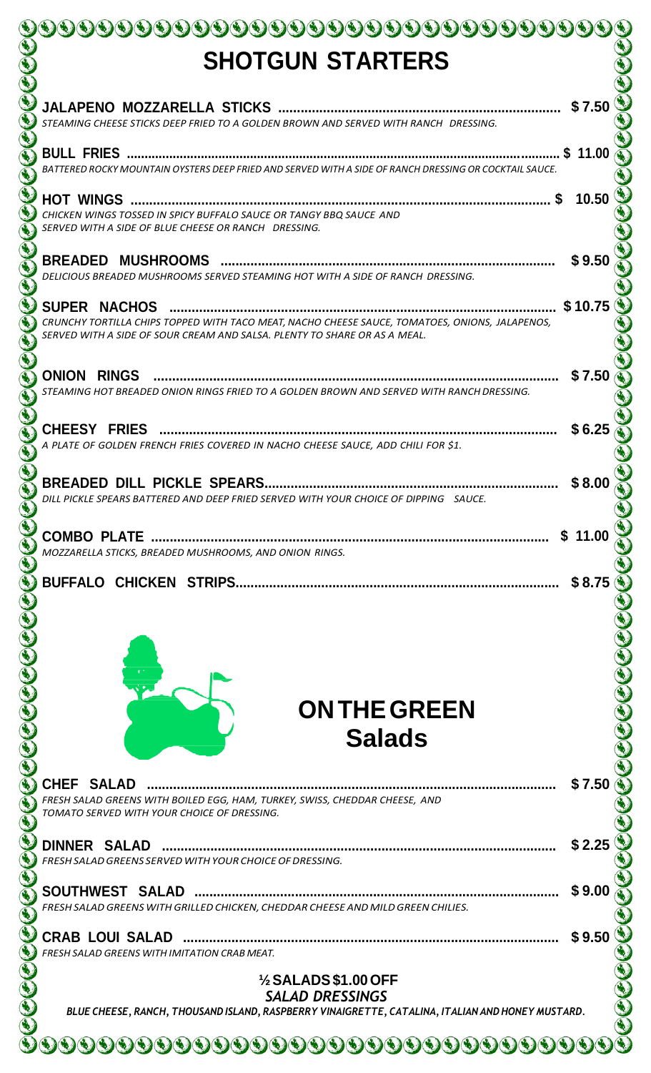| <b>SHOTGUN STARTERS</b>                                                                                                                                                                            |            |
|----------------------------------------------------------------------------------------------------------------------------------------------------------------------------------------------------|------------|
|                                                                                                                                                                                                    | \$7.50     |
| STEAMING CHEESE STICKS DEEP FRIED TO A GOLDEN BROWN AND SERVED WITH RANCH DRESSING.                                                                                                                |            |
| BATTERED ROCKY MOUNTAIN OYSTERS DEEP FRIED AND SERVED WITH A SIDE OF RANCH DRESSING OR COCKTAIL SAUCE.                                                                                             | 11.00      |
| <b>HOT WINGS</b><br>CHICKEN WINGS TOSSED IN SPICY BUFFALO SAUCE OR TANGY BBQ SAUCE AND<br>SERVED WITH A SIDE OF BLUE CHEESE OR RANCH DRESSING.                                                     | 10.50      |
| <b>BREADED MUSHROOMS</b><br>DELICIOUS BREADED MUSHROOMS SERVED STEAMING HOT WITH A SIDE OF RANCH DRESSING.                                                                                         | \$9.5      |
| <b>SUPER NACHOS</b><br>CRUNCHY TORTILLA CHIPS TOPPED WITH TACO MEAT, NACHO CHEESE SAUCE, TOMATOES, ONIONS, JALAPENOS,<br>SERVED WITH A SIDE OF SOUR CREAM AND SALSA. PLENTY TO SHARE OR AS A MEAL. | \$10.75    |
| <b>ONION RINGS</b><br><br>STEAMING HOT BREADED ONION RINGS FRIED TO A GOLDEN BROWN AND SERVED WITH RANCH DRESSING.                                                                                 | \$7.50     |
| <b>CHEESY FRIES</b><br>A PLATE OF GOLDEN FRENCH FRIES COVERED IN NACHO CHEESE SAUCE, ADD CHILI FOR \$1.                                                                                            | \$ 6.25    |
| DILL PICKLE SPEARS BATTERED AND DEEP FRIED SERVED WITH YOUR CHOICE OF DIPPING SAUCE.                                                                                                               |            |
| MOZZARELLA STICKS, BREADED MUSHROOMS, AND ONION RINGS.                                                                                                                                             | \$<br>11.0 |
| <b>ON THE GREEN</b><br><b>Salads</b>                                                                                                                                                               | \$8.75     |
| CHEF SALAD<br>FRESH SALAD GREENS WITH BOILED EGG, HAM, TURKEY, SWISS, CHEDDAR CHEESE, AND                                                                                                          | \$7.50     |
| TOMATO SERVED WITH YOUR CHOICE OF DRESSING.                                                                                                                                                        |            |
| <b>DINNER SALAD</b><br>FRESH SALAD GREENS SERVED WITH YOUR CHOICE OF DRESSING.                                                                                                                     | \$2.25     |
| FRESH SALAD GREENS WITH GRILLED CHICKEN, CHEDDAR CHEESE AND MILD GREEN CHILIES.                                                                                                                    | \$9.00     |
| <b>FRESH SALAD GREENS WITH IMITATION CRAB MEAT.</b>                                                                                                                                                | \$9.50     |
| $\frac{1}{2}$ SALADS \$1.00 OFF<br><b>SALAD DRESSINGS</b><br>BLUE CHEESE, RANCH, THOUSAND ISLAND, RASPBERRY VINAIGRETTE, CATALINA, ITALIAN AND HONEY MUSTARD.                                      |            |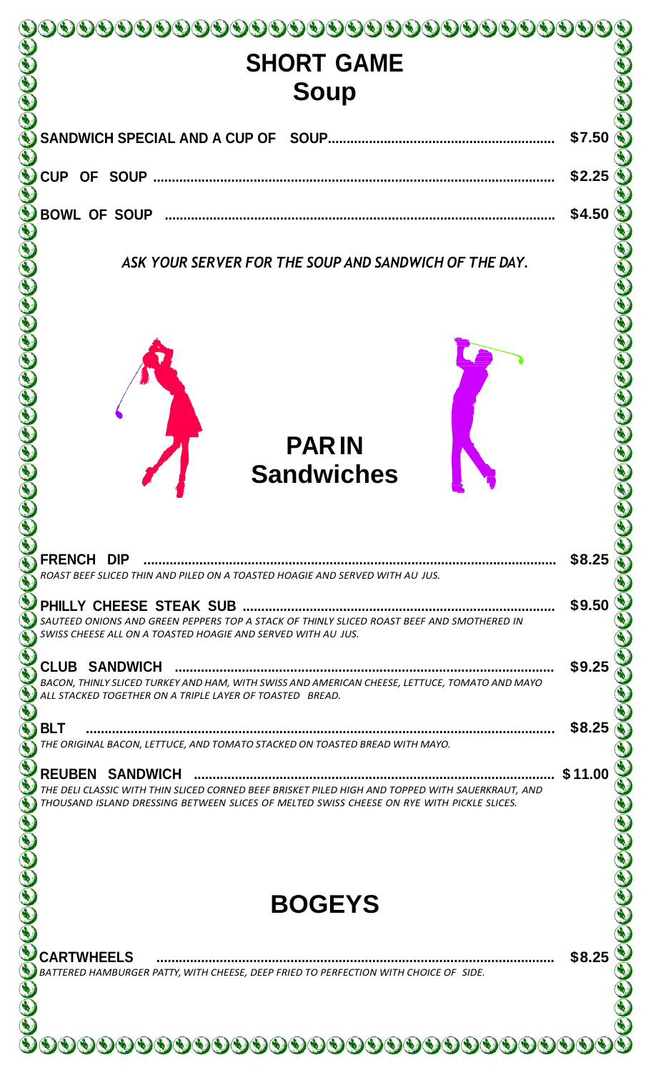| <b>SHORT GAME</b>                                                                                                                                                                          |                                      |
|--------------------------------------------------------------------------------------------------------------------------------------------------------------------------------------------|--------------------------------------|
| <b>Soup</b>                                                                                                                                                                                |                                      |
|                                                                                                                                                                                            |                                      |
|                                                                                                                                                                                            | \$7.50                               |
|                                                                                                                                                                                            |                                      |
| <b>CUP</b>                                                                                                                                                                                 | \$2.25                               |
| <b>BOWL OF SOUP</b>                                                                                                                                                                        | \$4.50                               |
|                                                                                                                                                                                            |                                      |
| ASK YOUR SERVER FOR THE SOUP AND SANDWICH OF THE DAY.                                                                                                                                      |                                      |
|                                                                                                                                                                                            |                                      |
|                                                                                                                                                                                            |                                      |
|                                                                                                                                                                                            |                                      |
|                                                                                                                                                                                            |                                      |
|                                                                                                                                                                                            |                                      |
|                                                                                                                                                                                            |                                      |
|                                                                                                                                                                                            |                                      |
| <b>PARIN</b>                                                                                                                                                                               |                                      |
| <b>Sandwiches</b>                                                                                                                                                                          |                                      |
|                                                                                                                                                                                            |                                      |
|                                                                                                                                                                                            |                                      |
|                                                                                                                                                                                            |                                      |
| FRENCH DIP                                                                                                                                                                                 |                                      |
| ROAST BEEF SLICED THIN AND PILED ON A TOASTED HOAGIE AND SERVED WITH AU JUS.                                                                                                               | \$8.25                               |
|                                                                                                                                                                                            |                                      |
| SAUTEED ONIONS AND GREEN PEPPERS TOP A STACK OF THINLY SLICED ROAST BEEF AND SMOTHERED IN                                                                                                  |                                      |
| SWISS CHEESE ALL ON A TOASTED HOAGIE AND SERVED WITH AU JUS.                                                                                                                               |                                      |
| <b>CLUB SANDWICH</b>                                                                                                                                                                       |                                      |
| ALL STACKED TOGETHER ON A TRIPLE LAYER OF TOASTED BREAD.                                                                                                                                   |                                      |
|                                                                                                                                                                                            |                                      |
| BACON, THINLY SLICED TURKEY AND HAM, WITH SWISS AND AMERICAN CHEESE, LETTUCE, TOMATO AND MAYO<br><b>BLT</b><br>THE ORIGINAL BACON, LETTUCE, AND TOMATO STACKED ON TOASTED BREAD WITH MAYO. |                                      |
|                                                                                                                                                                                            |                                      |
| <b>REUBEN SANDWICH</b><br>THE DELI CLASSIC WITH THIN SLICED CORNED BEEF BRISKET PILED HIGH AND TOPPED WITH SAUERKRAUT, AND                                                                 | \$11.00                              |
| THOUSAND ISLAND DRESSING BETWEEN SLICES OF MELTED SWISS CHEESE ON RYE WITH PICKLE SLICES.                                                                                                  |                                      |
|                                                                                                                                                                                            |                                      |
|                                                                                                                                                                                            |                                      |
|                                                                                                                                                                                            |                                      |
| <b>BOGEYS</b>                                                                                                                                                                              |                                      |
|                                                                                                                                                                                            |                                      |
| <b>CARTWHEELS</b>                                                                                                                                                                          | \$9.50<br>\$9.25<br>\$8.25<br>\$8.25 |
| BATTERED HAMBURGER PATTY, WITH CHEESE, DEEP FRIED TO PERFECTION WITH CHOICE OF SIDE.                                                                                                       |                                      |
|                                                                                                                                                                                            |                                      |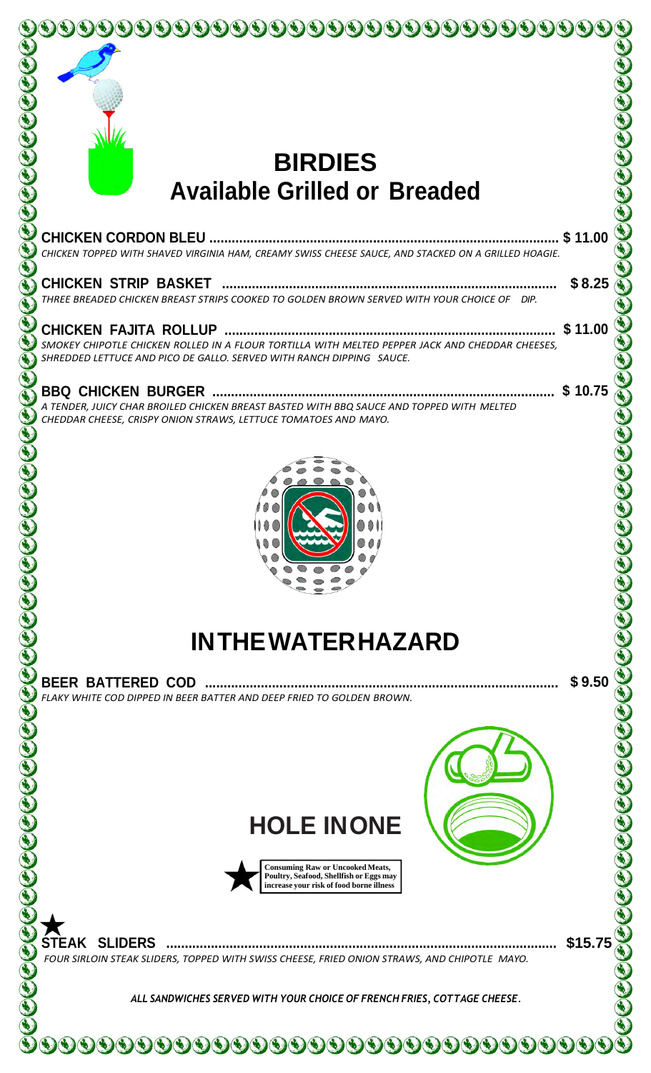

## **BIRDIES Available Grilled or Breaded**

|                                                                                                                                                                         | \$11.00 |
|-------------------------------------------------------------------------------------------------------------------------------------------------------------------------|---------|
| CHICKEN TOPPED WITH SHAVED VIRGINIA HAM, CREAMY SWISS CHEESE SAUCE, AND STACKED ON A GRILLED HOAGIE.                                                                    |         |
|                                                                                                                                                                         | \$8.25  |
| THREE BREADED CHICKEN BREAST STRIPS COOKED TO GOLDEN BROWN SERVED WITH YOUR CHOICE OF DIP.                                                                              |         |
|                                                                                                                                                                         | \$11.00 |
| SMOKEY CHIPOTLE CHICKEN ROLLED IN A FLOUR TORTILLA WITH MELTED PEPPER JACK AND CHEDDAR CHEESES,<br>SHREDDED LETTUCE AND PICO DE GALLO, SERVED WITH RANCH DIPPING SAUCE. |         |
| A TENDER, JUICY CHAR BROILED CHICKEN BREAST BASTED WITH BBQ SAUCE AND TOPPED WITH MELTED<br>CHEDDAR CHEESE, CRISPY ONION STRAWS, LETTUCE TOMATOES AND MAYO.             | \$10.75 |
|                                                                                                                                                                         |         |
| <b>INTHEWATER HAZARD</b>                                                                                                                                                |         |
| FLAKY WHITE COD DIPPED IN BEER BATTER AND DEEP FRIED TO GOLDEN BROWN.                                                                                                   | \$9.50  |
| <b>HOLE INONE</b><br><b>Consuming Raw or Uncooked Meats,</b><br>Poultry, Seafood, Shellfish or Eggs may<br>increase your risk of food borne illness                     |         |
| <b>STEAK SLIDERS</b><br>FOUR SIRLOIN STEAK SLIDERS, TOPPED WITH SWISS CHEESE, FRIED ONION STRAWS, AND CHIPOTLE MAYO.                                                    | \$15.75 |
| ALL SANDWICHES SERVED WITH YOUR CHOICE OF FRENCH FRIES, COTTAGE CHEESE.                                                                                                 |         |
| <u>9999999999999999999999999</u>                                                                                                                                        |         |
|                                                                                                                                                                         |         |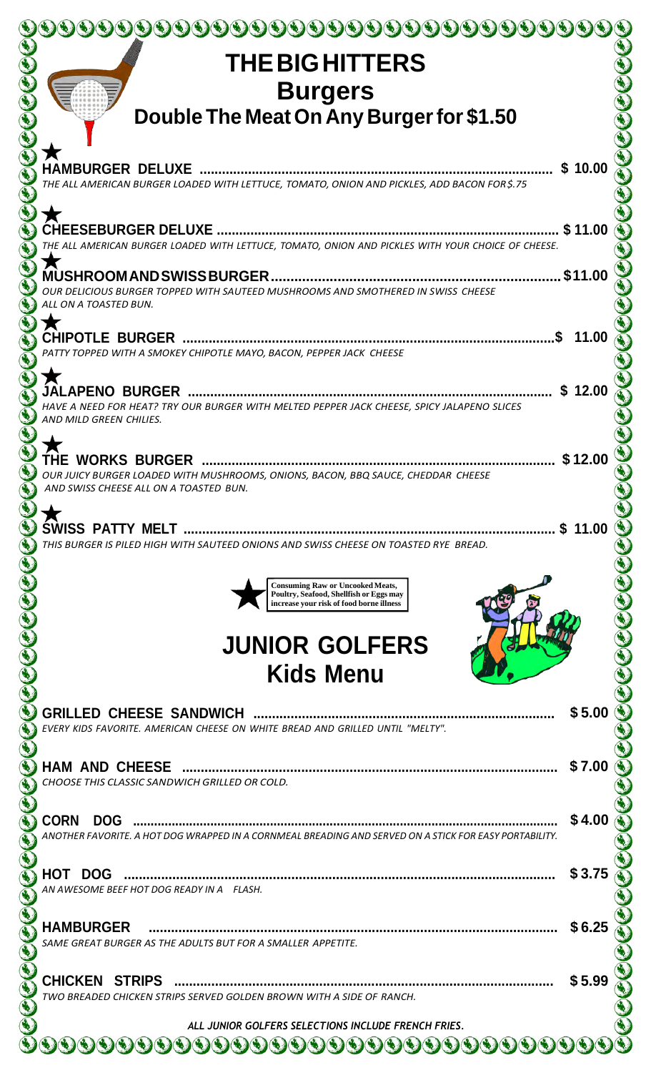| <b>THE BIG HITTERS</b>                                                                                                |         |
|-----------------------------------------------------------------------------------------------------------------------|---------|
| <b>Burgers</b>                                                                                                        |         |
| Double The Meat On Any Burger for \$1.50                                                                              |         |
|                                                                                                                       |         |
| <b>HAMBURGER DELUXE</b>                                                                                               | \$10.00 |
| THE ALL AMERICAN BURGER LOADED WITH LETTUCE, TOMATO, ONION AND PICKLES, ADD BACON FOR\$.75                            |         |
|                                                                                                                       | \$11.00 |
| THE ALL AMERICAN BURGER LOADED WITH LETTUCE, TOMATO, ONION AND PICKLES WITH YOUR CHOICE OF CHEESE.                    |         |
| <b>MUSHROOMANDSWISSBURGER</b>                                                                                         | \$11.00 |
| OUR DELICIOUS BURGER TOPPED WITH SAUTEED MUSHROOMS AND SMOTHERED IN SWISS CHEESE<br>ALL ON A TOASTED BUN.             |         |
| <b>CHIPOTLE BURGER </b>                                                                                               | 11.00   |
| PATTY TOPPED WITH A SMOKEY CHIPOTLE MAYO, BACON, PEPPER JACK CHEESE                                                   |         |
| <b>JALAPENO BURGER </b>                                                                                               | \$12.00 |
| HAVE A NEED FOR HEAT? TRY OUR BURGER WITH MELTED PEPPER JACK CHEESE, SPICY JALAPENO SLICES<br>AND MILD GREEN CHILIES. |         |
|                                                                                                                       |         |
| OUR JUICY BURGER LOADED WITH MUSHROOMS, ONIONS, BACON, BBQ SAUCE, CHEDDAR CHEESE                                      | \$12.00 |
| AND SWISS CHFFSF ALL ON A TOASTED BUN.                                                                                |         |
|                                                                                                                       | 11.00   |
| THIS BURGER IS PILED HIGH WITH SAUTEED ONIONS AND SWISS CHEESE ON TOASTED RYE BREAD.                                  |         |
| <b>Consuming Raw or Uncooked Meats,</b>                                                                               |         |
| Poultry, Seafood, Shellfish or Eggs may<br>increase your risk of food borne illness                                   |         |
| <b>JUNIOR GOLFERS</b>                                                                                                 |         |
|                                                                                                                       |         |
| <b>Kids Menu</b>                                                                                                      |         |
| GRILLED CHEESE SANDWICH                                                                                               | \$5.00  |
| EVERY KIDS FAVORITE. AMERICAN CHEESE ON WHITE BREAD AND GRILLED UNTIL "MELTY".                                        |         |
| HAM AND CHEESE                                                                                                        | \$7.00  |
| CHOOSE THIS CLASSIC SANDWICH GRILLED OR COLD.                                                                         |         |
| <b>CORN</b><br><b>DOG</b>                                                                                             | \$4.00  |
| ANOTHER FAVORITE. A HOT DOG WRAPPED IN A CORNMEAL BREADING AND SERVED ON A STICK FOR EASY PORTABILITY.                |         |
| <b>HOT DOG</b>                                                                                                        | \$3.75  |
| AN AWESOME BEEF HOT DOG READY IN A FLASH.                                                                             |         |
| <b>HAMBURGER</b>                                                                                                      | \$6.25  |
| SAME GREAT BURGER AS THE ADULTS BUT FOR A SMALLER APPETITE.                                                           |         |
| <b>CHICKEN STRIPS</b><br>                                                                                             | \$5.99  |
| TWO BREADED CHICKEN STRIPS SERVED GOLDEN BROWN WITH A SIDE OF RANCH.                                                  |         |
| ALL JUNIOR GOLFERS SELECTIONS INCLUDE FRENCH FRIES.                                                                   |         |